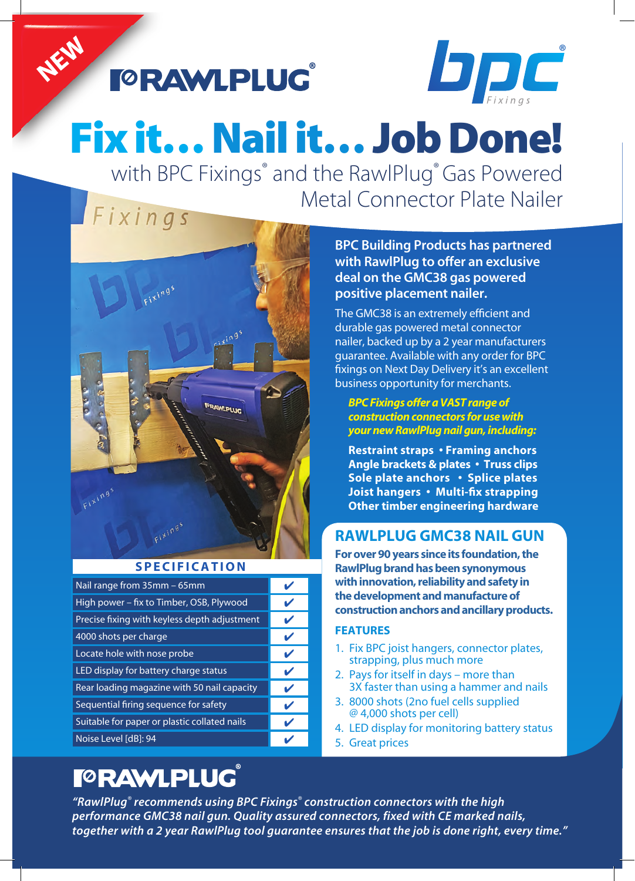**FORAWLPLUG** 



# Fix it… Nail it… Job Done!

**Metal Connector Plate Nailer** with BPC Fixings® and the RawlPlug® Gas Powered

# Fixings

NEW



#### **SPECIFICATION**

| Nail range from 35mm - 65mm                  |              |
|----------------------------------------------|--------------|
| High power - fix to Timber, OSB, Plywood     | V            |
| Precise fixing with keyless depth adjustment | V            |
| 4000 shots per charge                        | v            |
| Locate hole with nose probe                  | V            |
| LED display for battery charge status        | ✔            |
| Rear loading magazine with 50 nail capacity  | $\mathbf{v}$ |
| Sequential firing sequence for safety        | ✔            |
| Suitable for paper or plastic collated nails | V            |
| Noise Level [dB]: 94                         |              |

## **FORAWLPLUG**

#### **BPC Building Products has partnered with RawlPlug to offer an exclusive deal on the GMC38 gas powered positive placement nailer.**

*B uilding Pro ducts R etail* The GMC38 is an extremely efficient and durable gas powered metal connector nailer, backed up by a 2 year manufacturers guarantee. Available with any order for BPC fixings on Next Day Delivery it's an excellent business opportunity for merchants.

#### *Pro ducts Lt d BPC Fixings offer a VAST range of construction connectors for use with your new RawlPlug nail gun, including:*

**Restraint straps • Framing anchors Angle brackets & plates • Truss clips Sole plate anchors • Splice plates Joist hangers • Multi-fix strapping Other timber engineering hardware**

### **RAWLPLUG GMC38 NAIL GUN**

**For over 90 years since its foundation, the RawlPlug brand has been synonymous with innovation, reliability and safety in the development and manufacture of construction anchors and ancillary products.**

#### **FEATURES**

- 1. Fix BPC joist hangers, connector plates, strapping, plus much more
- 2. Pays for itself in days more than 3X faster than using a hammer and nails
- 3. 8000 shots (2no fuel cells supplied @ 4,000 shots per cell)
- 4. LED display for monitoring battery status
- 5. Great prices

*"RawlPlug® recommends using BPC Fixings® construction connectors with the high performance GMC38 nail gun. Quality assured connectors, fixed with CE marked nails, together with a 2 year RawlPlug tool guarantee ensures that the job is done right, every time."*